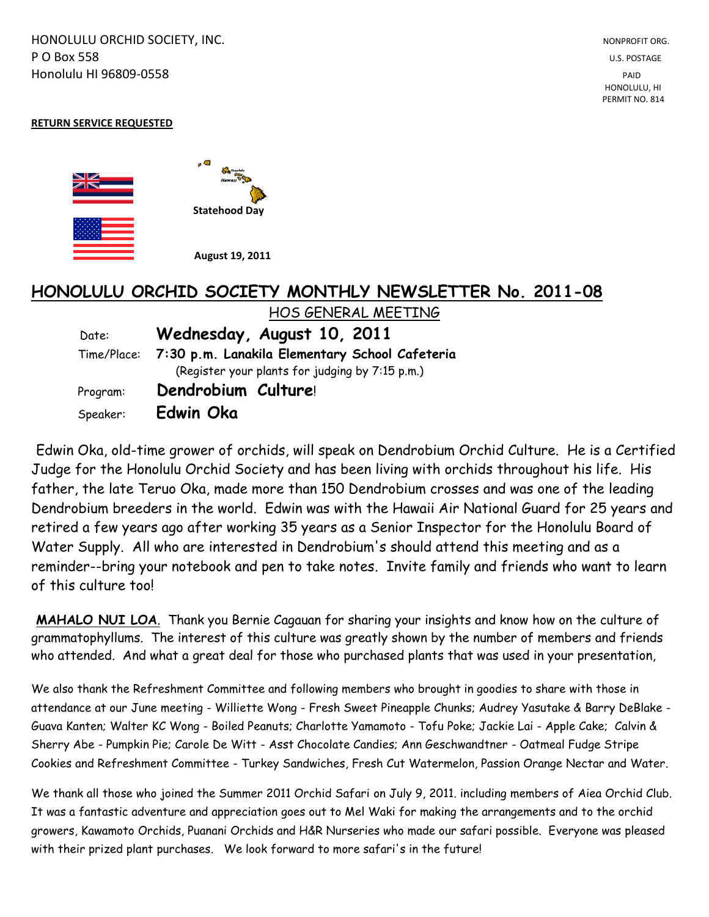HONOLULU ORCHID SOCIETY, INC. NONPROFIT ORG. NONPROFIT ORG. **P O Box 558** U.S. POSTAGE Honolulu HI 96809-0558 PAID

 HONOLULU, HI PERMIT NO. 814

#### **RETURN SERVICE REQUESTED**



# **HONOLULU ORCHID SOCIETY MONTHLY NEWSLETTER No. 2011-08**  HOS GENERAL MEETING

| Date:                                           | Wednesday, August 10, 2011                                 |  |  |  |  |
|-------------------------------------------------|------------------------------------------------------------|--|--|--|--|
|                                                 | Time/Place: 7:30 p.m. Lanakila Elementary School Cafeteria |  |  |  |  |
| (Register your plants for judging by 7:15 p.m.) |                                                            |  |  |  |  |
| Program:                                        | Dendrobium Culture!                                        |  |  |  |  |
| Speaker:                                        | Edwin Oka                                                  |  |  |  |  |

Edwin Oka, old-time grower of orchids, will speak on Dendrobium Orchid Culture. He is a Certified Judge for the Honolulu Orchid Society and has been living with orchids throughout his life. His father, the late Teruo Oka, made more than 150 Dendrobium crosses and was one of the leading Dendrobium breeders in the world. Edwin was with the Hawaii Air National Guard for 25 years and retired a few years ago after working 35 years as a Senior Inspector for the Honolulu Board of Water Supply. All who are interested in Dendrobium's should attend this meeting and as a reminder--bring your notebook and pen to take notes. Invite family and friends who want to learn of this culture too!

**MAHALO NUI LOA**. Thank you Bernie Cagauan for sharing your insights and know how on the culture of grammatophyllums. The interest of this culture was greatly shown by the number of members and friends who attended. And what a great deal for those who purchased plants that was used in your presentation,

We also thank the Refreshment Committee and following members who brought in goodies to share with those in attendance at our June meeting - Williette Wong - Fresh Sweet Pineapple Chunks; Audrey Yasutake & Barry DeBlake - Guava Kanten; Walter KC Wong - Boiled Peanuts; Charlotte Yamamoto - Tofu Poke; Jackie Lai - Apple Cake; Calvin & Sherry Abe - Pumpkin Pie; Carole De Witt - Asst Chocolate Candies; Ann Geschwandtner - Oatmeal Fudge Stripe Cookies and Refreshment Committee - Turkey Sandwiches, Fresh Cut Watermelon, Passion Orange Nectar and Water.

We thank all those who joined the Summer 2011 Orchid Safari on July 9, 2011. including members of Aiea Orchid Club. It was a fantastic adventure and appreciation goes out to Mel Waki for making the arrangements and to the orchid growers, Kawamoto Orchids, Puanani Orchids and H&R Nurseries who made our safari possible. Everyone was pleased with their prized plant purchases. We look forward to more safari's in the future!